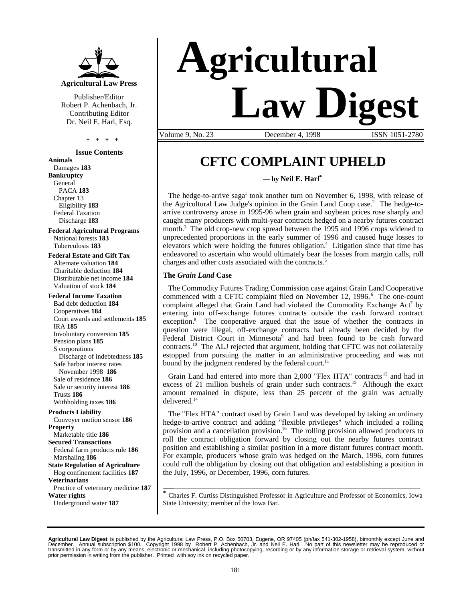

Publisher/Editor Robert P. Achenbach, Jr. Contributing Editor Dr. Neil E. Harl, Esq.

\* \* \* \*

**Issue Contents**

**Animals** Damages **183 Bankruptcy** General PACA **183** Chapter 13 Eligibility **183** Federal Taxation Discharge **183**

**Federal Agricultural Programs** National forests **183** Tuberculosis **183**

**Federal Estate and Gift Tax** Alternate valuation **184** Charitable deduction **184** Distributable net income **184** Valuation of stock **184**

### **Federal Income Taxation**

Bad debt deduction **184** Cooperatives **184** Court awards and settlements **185** IRA **185** Involuntary conversion **185** Pension plans **185** S corporations Discharge of indebtedness **185** Safe harbor interest rates November 1998 **186** Sale of residence **186** Sale or security interest **186** Trusts **186** Withholding taxes **186**

**Products Liability** Conveyer motion sensor **186 Property** Marketable title **186 Secured Transactions** Federal farm products rule **186** Marshaling **186 State Regulation of Agriculture** Hog confinement facilities **187 Veterinarians**

Practice of veterinary medicine **187 Water rights**

Underground water **187**

# **Agricultural Law Digest**

Volume 9, No. 23 December 4, 1998 ISSN 1051-2780

## **CFTC COMPLAINT UPHELD**

**— by Neil E. Harl\***

The hedge-to-arrive saga<sup>1</sup> took another turn on November 6, 1998, with release of the Agricultural Law Judge's opinion in the Grain Land Coop case.<sup>2</sup> The hedge-toarrive controversy arose in 1995-96 when grain and soybean prices rose sharply and caught many producers with multi-year contracts hedged on a nearby futures contract month.<sup>3</sup> The old crop-new crop spread between the 1995 and 1996 crops widened to unprecedented proportions in the early summer of 1996 and caused huge losses to elevators which were holding the futures obligation.<sup>4</sup> Litigation since that time has endeavored to ascertain who would ultimately bear the losses from margin calls, roll charges and other costs associated with the contracts.<sup>5</sup>

#### **The** *Grain Land* **Case**

The Commodity Futures Trading Commission case against Grain Land Cooperative commenced with a CFTC complaint filed on November 12, 1996.<sup>6</sup> The one-count complaint alleged that Grain Land had violated the Commodity Exchange Act<sup>7</sup> by entering into off-exchange futures contracts outside the cash forward contract exception.<sup>8</sup> The cooperative argued that the issue of whether the contracts in question were illegal, off-exchange contracts had already been decided by the Federal District Court in Minnesota<sup>9</sup> and had been found to be cash forward contracts.<sup>10</sup> The ALJ rejected that argument, holding that CFTC was not collaterally estopped from pursuing the matter in an administrative proceeding and was not bound by the judgment rendered by the federal court.<sup>11</sup>

Grain Land had entered into more than 2,000 "Flex HTA" contracts<sup>12</sup> and had in excess of 21 million bushels of grain under such contracts.<sup>15</sup> Although the exact amount remained in dispute, less than 25 percent of the grain was actually delivered.<sup>14</sup>

The "Flex HTA" contract used by Grain Land was developed by taking an ordinary hedge-to-arrive contract and adding "flexible privileges" which included a rolling provision and a cancellation provision.<sup>16</sup> The rolling provision allowed producers to roll the contract obligation forward by closing out the nearby futures contract position and establishing a similar position in a more distant futures contract month. For example, producers whose grain was hedged on the March, 1996, corn futures could roll the obligation by closing out that obligation and establishing a position in the July, 1996, or December, 1996, corn futures.

\_\_\_\_\_\_\_\_\_\_\_\_\_\_\_\_\_\_\_\_\_\_\_\_\_\_\_\_\_\_\_\_\_\_\_\_\_\_\_\_\_\_\_\_\_\_\_\_\_\_\_\_\_\_\_\_\_\_\_\_\_\_\_\_\_\_\_\_\_\_\_\_\_\_\_ \* Charles F. Curtiss Distinguished Professor in Agriculture and Professor of Economics, Iowa State University; member of the Iowa Bar.

**Agricultural Law Digest** is published by the Agricultural Law Press, P.O. Box 50703, Eugene, OR 97405 (ph/fax 541-302-1958), bimonthly except June and<br>December. Annual subscription \$100. Copyright 1998 by Robert P. Ach prior permission in writing from the publisher. Printed with soy ink on recycled paper.